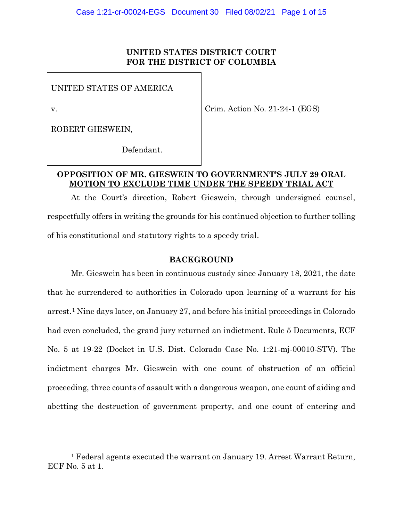## **UNITED STATES DISTRICT COURT FOR THE DISTRICT OF COLUMBIA**

UNITED STATES OF AMERICA

v.

Crim. Action No. 21-24-1 (EGS)

ROBERT GIESWEIN,

Defendant.

# **OPPOSITION OF MR. GIESWEIN TO GOVERNMENT'S JULY 29 ORAL MOTION TO EXCLUDE TIME UNDER THE SPEEDY TRIAL ACT**

At the Court's direction, Robert Gieswein, through undersigned counsel, respectfully offers in writing the grounds for his continued objection to further tolling of his constitutional and statutory rights to a speedy trial.

### **BACKGROUND**

Mr. Gieswein has been in continuous custody since January 18, 2021, the date that he surrendered to authorities in Colorado upon learning of a warrant for his arrest.1 Nine days later, on January 27, and before his initial proceedings in Colorado had even concluded, the grand jury returned an indictment. Rule 5 Documents, ECF No. 5 at 19-22 (Docket in U.S. Dist. Colorado Case No. 1:21-mj-00010-STV). The indictment charges Mr. Gieswein with one count of obstruction of an official proceeding, three counts of assault with a dangerous weapon, one count of aiding and abetting the destruction of government property, and one count of entering and

<sup>1</sup> Federal agents executed the warrant on January 19. Arrest Warrant Return, ECF No. 5 at 1.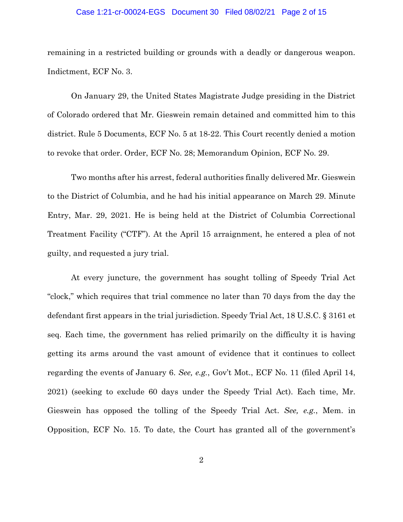#### Case 1:21-cr-00024-EGS Document 30 Filed 08/02/21 Page 2 of 15

remaining in a restricted building or grounds with a deadly or dangerous weapon. Indictment, ECF No. 3.

On January 29, the United States Magistrate Judge presiding in the District of Colorado ordered that Mr. Gieswein remain detained and committed him to this district. Rule 5 Documents, ECF No. 5 at 18-22. This Court recently denied a motion to revoke that order. Order, ECF No. 28; Memorandum Opinion, ECF No. 29.

Two months after his arrest, federal authorities finally delivered Mr. Gieswein to the District of Columbia, and he had his initial appearance on March 29. Minute Entry, Mar. 29, 2021. He is being held at the District of Columbia Correctional Treatment Facility ("CTF"). At the April 15 arraignment, he entered a plea of not guilty, and requested a jury trial.

At every juncture, the government has sought tolling of Speedy Trial Act "clock," which requires that trial commence no later than 70 days from the day the defendant first appears in the trial jurisdiction. Speedy Trial Act, 18 U.S.C. § 3161 et seq. Each time, the government has relied primarily on the difficulty it is having getting its arms around the vast amount of evidence that it continues to collect regarding the events of January 6. *See, e.g.*, Gov't Mot., ECF No. 11 (filed April 14, 2021) (seeking to exclude 60 days under the Speedy Trial Act). Each time, Mr. Gieswein has opposed the tolling of the Speedy Trial Act. *See, e.g.*, Mem. in Opposition, ECF No. 15. To date, the Court has granted all of the government's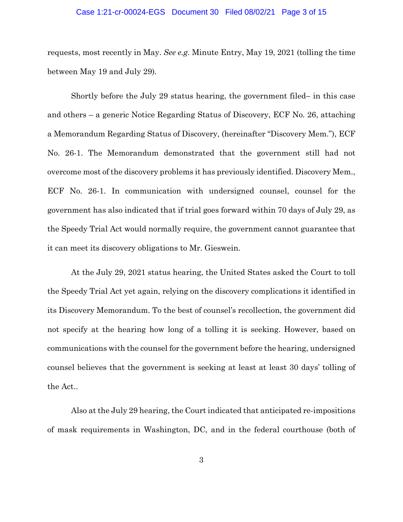#### Case 1:21-cr-00024-EGS Document 30 Filed 08/02/21 Page 3 of 15

requests, most recently in May. *See e.g.* Minute Entry, May 19, 2021 (tolling the time between May 19 and July 29)*.*

Shortly before the July 29 status hearing, the government filed– in this case and others – a generic Notice Regarding Status of Discovery, ECF No. 26, attaching a Memorandum Regarding Status of Discovery, (hereinafter "Discovery Mem."), ECF No. 26-1. The Memorandum demonstrated that the government still had not overcome most of the discovery problems it has previously identified. Discovery Mem., ECF No. 26-1. In communication with undersigned counsel, counsel for the government has also indicated that if trial goes forward within 70 days of July 29, as the Speedy Trial Act would normally require, the government cannot guarantee that it can meet its discovery obligations to Mr. Gieswein.

At the July 29, 2021 status hearing, the United States asked the Court to toll the Speedy Trial Act yet again, relying on the discovery complications it identified in its Discovery Memorandum. To the best of counsel's recollection, the government did not specify at the hearing how long of a tolling it is seeking. However, based on communications with the counsel for the government before the hearing, undersigned counsel believes that the government is seeking at least at least 30 days' tolling of the Act..

Also at the July 29 hearing, the Court indicated that anticipated re-impositions of mask requirements in Washington, DC, and in the federal courthouse (both of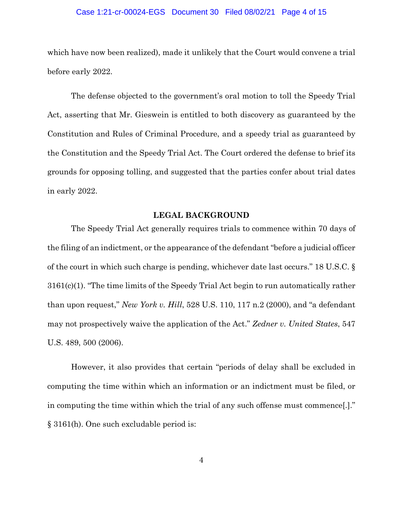#### Case 1:21-cr-00024-EGS Document 30 Filed 08/02/21 Page 4 of 15

which have now been realized), made it unlikely that the Court would convene a trial before early 2022.

The defense objected to the government's oral motion to toll the Speedy Trial Act, asserting that Mr. Gieswein is entitled to both discovery as guaranteed by the Constitution and Rules of Criminal Procedure, and a speedy trial as guaranteed by the Constitution and the Speedy Trial Act. The Court ordered the defense to brief its grounds for opposing tolling, and suggested that the parties confer about trial dates in early 2022.

### **LEGAL BACKGROUND**

The Speedy Trial Act generally requires trials to commence within 70 days of the filing of an indictment, or the appearance of the defendant "before a judicial officer of the court in which such charge is pending, whichever date last occurs." 18 U.S.C. § 3161(c)(1). "The time limits of the Speedy Trial Act begin to run automatically rather than upon request," *New York v. Hill*, 528 U.S. 110, 117 n.2 (2000), and "a defendant may not prospectively waive the application of the Act." *Zedner v. United States*, 547 U.S. 489, 500 (2006).

However, it also provides that certain "periods of delay shall be excluded in computing the time within which an information or an indictment must be filed, or in computing the time within which the trial of any such offense must commence[.]." § 3161(h). One such excludable period is: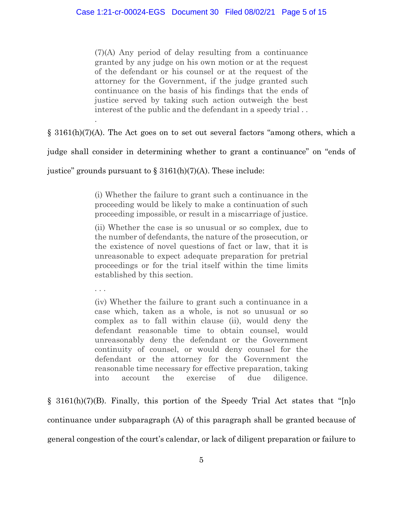(7)(A) Any period of delay resulting from a continuance granted by any judge on his own motion or at the request of the defendant or his counsel or at the request of the attorney for the Government, if the judge granted such continuance on the basis of his findings that the ends of justice served by taking such action outweigh the best interest of the public and the defendant in a speedy trial . .

§ 3161(h)(7)(A). The Act goes on to set out several factors "among others, which a

judge shall consider in determining whether to grant a continuance" on "ends of

justice" grounds pursuant to  $\S 3161(h)(7)(A)$ . These include:

(i) Whether the failure to grant such a continuance in the proceeding would be likely to make a continuation of such proceeding impossible, or result in a miscarriage of justice.

(ii) Whether the case is so unusual or so complex, due to the number of defendants, the nature of the prosecution, or the existence of novel questions of fact or law, that it is unreasonable to expect adequate preparation for pretrial proceedings or for the trial itself within the time limits established by this section.

. . .

.

(iv) Whether the failure to grant such a continuance in a case which, taken as a whole, is not so unusual or so complex as to fall within clause (ii), would deny the defendant reasonable time to obtain counsel, would unreasonably deny the defendant or the Government continuity of counsel, or would deny counsel for the defendant or the attorney for the Government the reasonable time necessary for effective preparation, taking into account the exercise of due diligence.

§ 3161(h)(7)(B). Finally, this portion of the Speedy Trial Act states that "[n]o continuance under subparagraph (A) of this paragraph shall be granted because of general congestion of the court's calendar, or lack of diligent preparation or failure to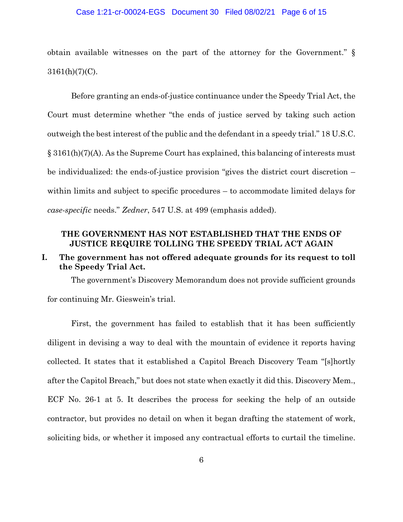#### Case 1:21-cr-00024-EGS Document 30 Filed 08/02/21 Page 6 of 15

obtain available witnesses on the part of the attorney for the Government." §  $3161(h)(7)(C)$ .

Before granting an ends-of-justice continuance under the Speedy Trial Act, the Court must determine whether "the ends of justice served by taking such action outweigh the best interest of the public and the defendant in a speedy trial." 18 U.S.C. § 3161(h)(7)(A). As the Supreme Court has explained, this balancing of interests must be individualized: the ends-of-justice provision "gives the district court discretion – within limits and subject to specific procedures – to accommodate limited delays for *case-specific* needs." *Zedner*, 547 U.S. at 499 (emphasis added).

## **THE GOVERNMENT HAS NOT ESTABLISHED THAT THE ENDS OF JUSTICE REQUIRE TOLLING THE SPEEDY TRIAL ACT AGAIN**

# **I. The government has not offered adequate grounds for its request to toll the Speedy Trial Act.**

The government's Discovery Memorandum does not provide sufficient grounds for continuing Mr. Gieswein's trial.

First, the government has failed to establish that it has been sufficiently diligent in devising a way to deal with the mountain of evidence it reports having collected. It states that it established a Capitol Breach Discovery Team "[s]hortly after the Capitol Breach," but does not state when exactly it did this. Discovery Mem., ECF No. 26-1 at 5. It describes the process for seeking the help of an outside contractor, but provides no detail on when it began drafting the statement of work, soliciting bids, or whether it imposed any contractual efforts to curtail the timeline.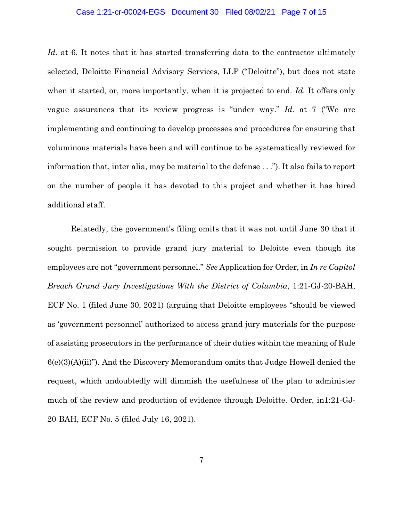#### Case 1:21-cr-00024-EGS Document 30 Filed 08/02/21 Page 7 of 15

Id. at 6. It notes that it has started transferring data to the contractor ultimately selected, Deloitte Financial Advisory Services, LLP ("Deloitte"), but does not state when it started, or, more importantly, when it is projected to end. *Id.* It offers only vague assurances that its review progress is "under way." *Id.* at 7 ("We are implementing and continuing to develop processes and procedures for ensuring that voluminous materials have been and will continue to be systematically reviewed for information that, inter alia, may be material to the defense . . ."). It also fails to report on the number of people it has devoted to this project and whether it has hired additional staff.

Relatedly, the government's filing omits that it was not until June 30 that it sought permission to provide grand jury material to Deloitte even though its employees are not "government personnel." *See* Application for Order, in *In re Capitol Breach Grand Jury Investigations With the District of Columbia*, 1:21-GJ-20-BAH, ECF No. 1 (filed June 30, 2021) (arguing that Deloitte employees "should be viewed as 'government personnel' authorized to access grand jury materials for the purpose of assisting prosecutors in the performance of their duties within the meaning of Rule 6(e)(3)(A)(ii)"). And the Discovery Memorandum omits that Judge Howell denied the request, which undoubtedly will dimmish the usefulness of the plan to administer much of the review and production of evidence through Deloitte. Order, in1:21-GJ-20-BAH, ECF No. 5 (filed July 16, 2021).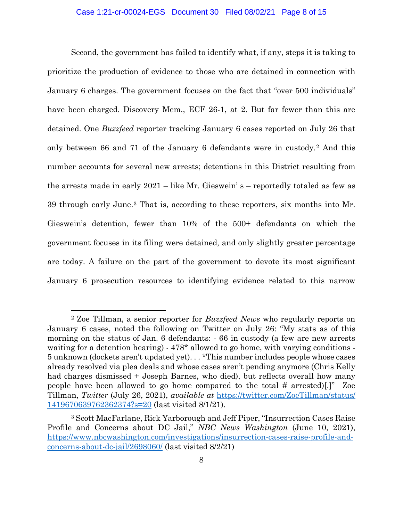### Case 1:21-cr-00024-EGS Document 30 Filed 08/02/21 Page 8 of 15

Second, the government has failed to identify what, if any, steps it is taking to prioritize the production of evidence to those who are detained in connection with January 6 charges. The government focuses on the fact that "over 500 individuals" have been charged. Discovery Mem., ECF 26-1, at 2. But far fewer than this are detained. One *Buzzfeed* reporter tracking January 6 cases reported on July 26 that only between 66 and 71 of the January 6 defendants were in custody.2 And this number accounts for several new arrests; detentions in this District resulting from the arrests made in early 2021 – like Mr. Gieswein' s – reportedly totaled as few as 39 through early June.3 That is, according to these reporters, six months into Mr. Gieswein's detention, fewer than 10% of the 500+ defendants on which the government focuses in its filing were detained, and only slightly greater percentage are today. A failure on the part of the government to devote its most significant January 6 prosecution resources to identifying evidence related to this narrow

<sup>2</sup> Zoe Tillman, a senior reporter for *Buzzfeed News* who regularly reports on January 6 cases, noted the following on Twitter on July 26: "My stats as of this morning on the status of Jan. 6 defendants: - 66 in custody (a few are new arrests waiting for a detention hearing) - 478\* allowed to go home, with varying conditions -5 unknown (dockets aren't updated yet). . . \*This number includes people whose cases already resolved via plea deals and whose cases aren't pending anymore (Chris Kelly had charges dismissed + Joseph Barnes, who died), but reflects overall how many people have been allowed to go home compared to the total # arrested)[.]" Zoe Tillman, *Twitter* (July 26, 2021), *available at* https://twitter.com/ZoeTillman/status/ 1419670639762362374?s=20 (last visited 8/1/21).

<sup>3</sup> Scott MacFarlane, Rick Yarborough and Jeff Piper, "Insurrection Cases Raise Profile and Concerns about DC Jail," *NBC News Washington* (June 10, 2021), https://www.nbcwashington.com/investigations/insurrection-cases-raise-profile-andconcerns-about-dc-jail/2698060/ (last visited 8/2/21)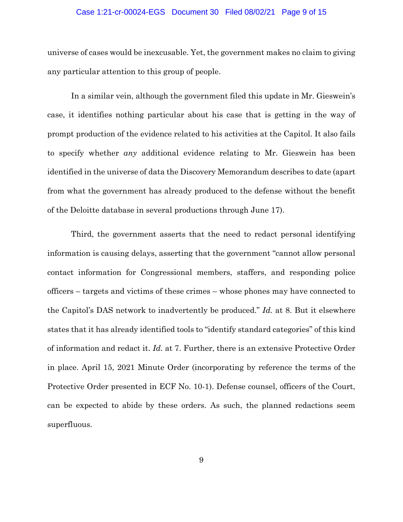#### Case 1:21-cr-00024-EGS Document 30 Filed 08/02/21 Page 9 of 15

universe of cases would be inexcusable. Yet, the government makes no claim to giving any particular attention to this group of people.

In a similar vein, although the government filed this update in Mr. Gieswein's case, it identifies nothing particular about his case that is getting in the way of prompt production of the evidence related to his activities at the Capitol. It also fails to specify whether *any* additional evidence relating to Mr. Gieswein has been identified in the universe of data the Discovery Memorandum describes to date (apart from what the government has already produced to the defense without the benefit of the Deloitte database in several productions through June 17).

Third, the government asserts that the need to redact personal identifying information is causing delays, asserting that the government "cannot allow personal contact information for Congressional members, staffers, and responding police officers – targets and victims of these crimes – whose phones may have connected to the Capitol's DAS network to inadvertently be produced." *Id.* at 8. But it elsewhere states that it has already identified tools to "identify standard categories" of this kind of information and redact it. *Id.* at 7. Further, there is an extensive Protective Order in place. April 15, 2021 Minute Order (incorporating by reference the terms of the Protective Order presented in ECF No. 10-1). Defense counsel, officers of the Court, can be expected to abide by these orders. As such, the planned redactions seem superfluous.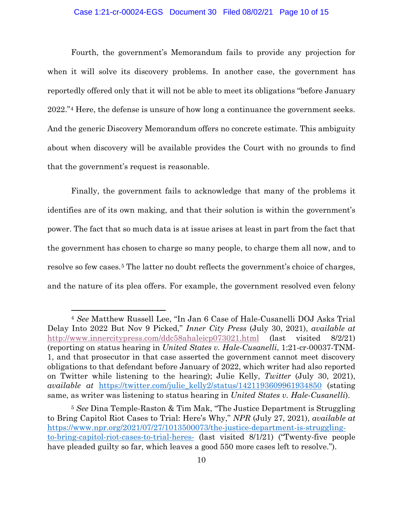### Case 1:21-cr-00024-EGS Document 30 Filed 08/02/21 Page 10 of 15

Fourth, the government's Memorandum fails to provide any projection for when it will solve its discovery problems. In another case, the government has reportedly offered only that it will not be able to meet its obligations "before January 2022."4 Here, the defense is unsure of how long a continuance the government seeks. And the generic Discovery Memorandum offers no concrete estimate. This ambiguity about when discovery will be available provides the Court with no grounds to find that the government's request is reasonable.

Finally, the government fails to acknowledge that many of the problems it identifies are of its own making, and that their solution is within the government's power. The fact that so much data is at issue arises at least in part from the fact that the government has chosen to charge so many people, to charge them all now, and to resolve so few cases.<sup>5</sup> The latter no doubt reflects the government's choice of charges, and the nature of its plea offers. For example, the government resolved even felony

<sup>4</sup> *See* Matthew Russell Lee, "In Jan 6 Case of Hale-Cusanelli DOJ Asks Trial Delay Into 2022 But Nov 9 Picked," *Inner City Press* (July 30, 2021), *available at*  http://www.innercitypress.com/ddc58ahaleicp073021.html (last visited 8/2/21) (reporting on status hearing in *United States v. Hale-Cusanelli*, 1:21-cr-00037-TNM-1, and that prosecutor in that case asserted the government cannot meet discovery obligations to that defendant before January of 2022, which writer had also reported on Twitter while listening to the hearing); Julie Kelly, *Twitter* (July 30, 2021), *available at* https://twitter.com/julie\_kelly2/status/1421193609961934850 (stating same, as writer was listening to status hearing in *United States v. Hale-Cusanelli*).

<sup>5</sup> *See* Dina Temple-Raston & Tim Mak, "The Justice Department is Struggling to Bring Capitol Riot Cases to Trial: Here's Why," *NPR* (July 27, 2021), *available at* https://www.npr.org/2021/07/27/1013500073/the-justice-department-is-strugglingto-bring-capitol-riot-cases-to-trial-heres- (last visited 8/1/21) ("Twenty-five people have pleaded guilty so far, which leaves a good 550 more cases left to resolve.").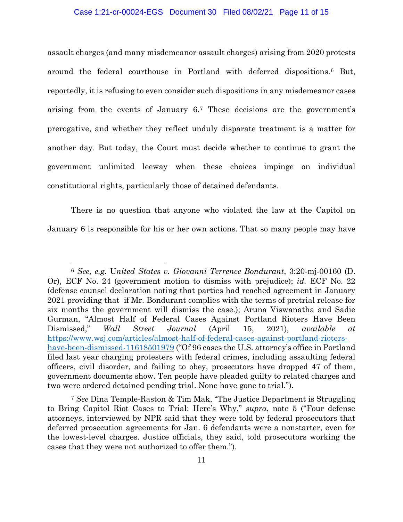### Case 1:21-cr-00024-EGS Document 30 Filed 08/02/21 Page 11 of 15

assault charges (and many misdemeanor assault charges) arising from 2020 protests around the federal courthouse in Portland with deferred dispositions.6 But, reportedly, it is refusing to even consider such dispositions in any misdemeanor cases arising from the events of January 6.7 These decisions are the government's prerogative, and whether they reflect unduly disparate treatment is a matter for another day. But today, the Court must decide whether to continue to grant the government unlimited leeway when these choices impinge on individual constitutional rights, particularly those of detained defendants.

There is no question that anyone who violated the law at the Capitol on January 6 is responsible for his or her own actions. That so many people may have

<sup>6</sup> *See, e.g.* U*nited States v. Giovanni Terrence Bondurant*, 3:20-mj-00160 (D. Or), ECF No. 24 (government motion to dismiss with prejudice); *id.* ECF No. 22 (defense counsel declaration noting that parties had reached agreement in January 2021 providing that if Mr. Bondurant complies with the terms of pretrial release for six months the government will dismiss the case.); Aruna Viswanatha and Sadie Gurman, "Almost Half of Federal Cases Against Portland Rioters Have Been Dismissed," *Wall Street Journal* (April 15, 2021), *available at*  https://www.wsj.com/articles/almost-half-of-federal-cases-against-portland-riotershave-been-dismissed-11618501979 ("Of 96 cases the U.S. attorney's office in Portland filed last year charging protesters with federal crimes, including assaulting federal officers, civil disorder, and failing to obey, prosecutors have dropped 47 of them, government documents show. Ten people have pleaded guilty to related charges and two were ordered detained pending trial. None have gone to trial.").

<sup>7</sup> *See* Dina Temple-Raston & Tim Mak, "The Justice Department is Struggling to Bring Capitol Riot Cases to Trial: Here's Why," *supra*, note 5 ("Four defense attorneys, interviewed by NPR said that they were told by federal prosecutors that deferred prosecution agreements for Jan. 6 defendants were a nonstarter, even for the lowest-level charges. Justice officials, they said, told prosecutors working the cases that they were not authorized to offer them.").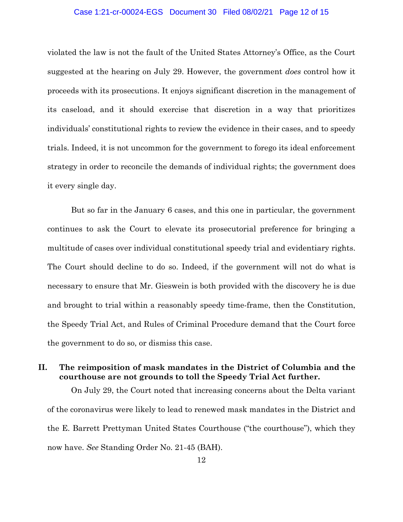#### Case 1:21-cr-00024-EGS Document 30 Filed 08/02/21 Page 12 of 15

violated the law is not the fault of the United States Attorney's Office, as the Court suggested at the hearing on July 29. However, the government *does* control how it proceeds with its prosecutions. It enjoys significant discretion in the management of its caseload, and it should exercise that discretion in a way that prioritizes individuals' constitutional rights to review the evidence in their cases, and to speedy trials. Indeed, it is not uncommon for the government to forego its ideal enforcement strategy in order to reconcile the demands of individual rights; the government does it every single day.

But so far in the January 6 cases, and this one in particular, the government continues to ask the Court to elevate its prosecutorial preference for bringing a multitude of cases over individual constitutional speedy trial and evidentiary rights. The Court should decline to do so. Indeed, if the government will not do what is necessary to ensure that Mr. Gieswein is both provided with the discovery he is due and brought to trial within a reasonably speedy time-frame, then the Constitution, the Speedy Trial Act, and Rules of Criminal Procedure demand that the Court force the government to do so, or dismiss this case.

# **II. The reimposition of mask mandates in the District of Columbia and the courthouse are not grounds to toll the Speedy Trial Act further.**

On July 29, the Court noted that increasing concerns about the Delta variant of the coronavirus were likely to lead to renewed mask mandates in the District and the E. Barrett Prettyman United States Courthouse ("the courthouse"), which they now have. *See* Standing Order No. 21-45 (BAH).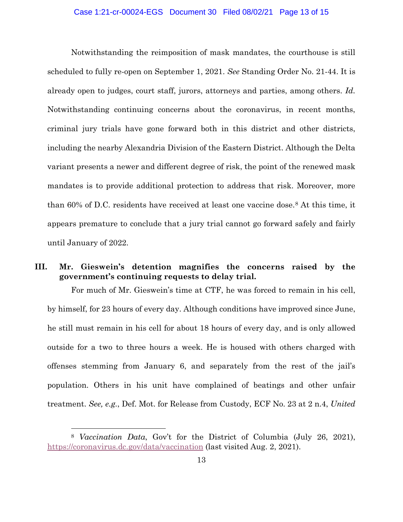#### Case 1:21-cr-00024-EGS Document 30 Filed 08/02/21 Page 13 of 15

Notwithstanding the reimposition of mask mandates, the courthouse is still scheduled to fully re-open on September 1, 2021. *See* Standing Order No. 21-44. It is already open to judges, court staff, jurors, attorneys and parties, among others. *Id.* Notwithstanding continuing concerns about the coronavirus, in recent months, criminal jury trials have gone forward both in this district and other districts, including the nearby Alexandria Division of the Eastern District. Although the Delta variant presents a newer and different degree of risk, the point of the renewed mask mandates is to provide additional protection to address that risk. Moreover, more than 60% of D.C. residents have received at least one vaccine dose.8 At this time, it appears premature to conclude that a jury trial cannot go forward safely and fairly until January of 2022.

## **III. Mr. Gieswein's detention magnifies the concerns raised by the government's continuing requests to delay trial.**

For much of Mr. Gieswein's time at CTF, he was forced to remain in his cell, by himself, for 23 hours of every day. Although conditions have improved since June, he still must remain in his cell for about 18 hours of every day, and is only allowed outside for a two to three hours a week. He is housed with others charged with offenses stemming from January 6, and separately from the rest of the jail's population. Others in his unit have complained of beatings and other unfair treatment. *See, e.g.*, Def. Mot. for Release from Custody, ECF No. 23 at 2 n.4, *United* 

<sup>8</sup> *Vaccination Data*, Gov't for the District of Columbia (July 26, 2021), https://coronavirus.dc.gov/data/vaccination (last visited Aug. 2, 2021).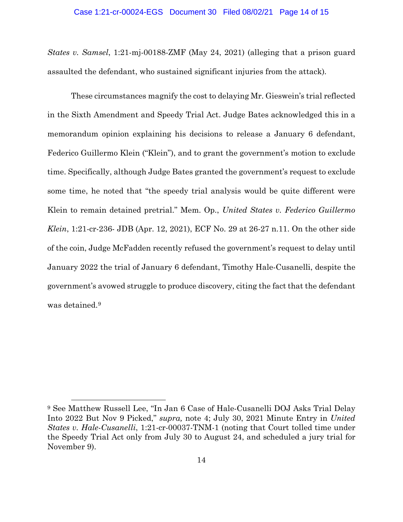*States v. Samsel*, 1:21-mj-00188-ZMF (May 24, 2021) (alleging that a prison guard assaulted the defendant, who sustained significant injuries from the attack)*.*

These circumstances magnify the cost to delaying Mr. Gieswein's trial reflected in the Sixth Amendment and Speedy Trial Act. Judge Bates acknowledged this in a memorandum opinion explaining his decisions to release a January 6 defendant, Federico Guillermo Klein ("Klein"), and to grant the government's motion to exclude time. Specifically, although Judge Bates granted the government's request to exclude some time, he noted that "the speedy trial analysis would be quite different were Klein to remain detained pretrial." Mem. Op., *United States v. Federico Guillermo Klein*, 1:21-cr-236- JDB (Apr. 12, 2021), ECF No. 29 at 26-27 n.11. On the other side of the coin, Judge McFadden recently refused the government's request to delay until January 2022 the trial of January 6 defendant, Timothy Hale-Cusanelli, despite the government's avowed struggle to produce discovery, citing the fact that the defendant was detained.<sup>9</sup>

<sup>9</sup> See Matthew Russell Lee, "In Jan 6 Case of Hale-Cusanelli DOJ Asks Trial Delay Into 2022 But Nov 9 Picked," *supra,* note 4; July 30, 2021 Minute Entry in *United States v. Hale-Cusanelli*, 1:21-cr-00037-TNM-1 (noting that Court tolled time under the Speedy Trial Act only from July 30 to August 24, and scheduled a jury trial for November 9).